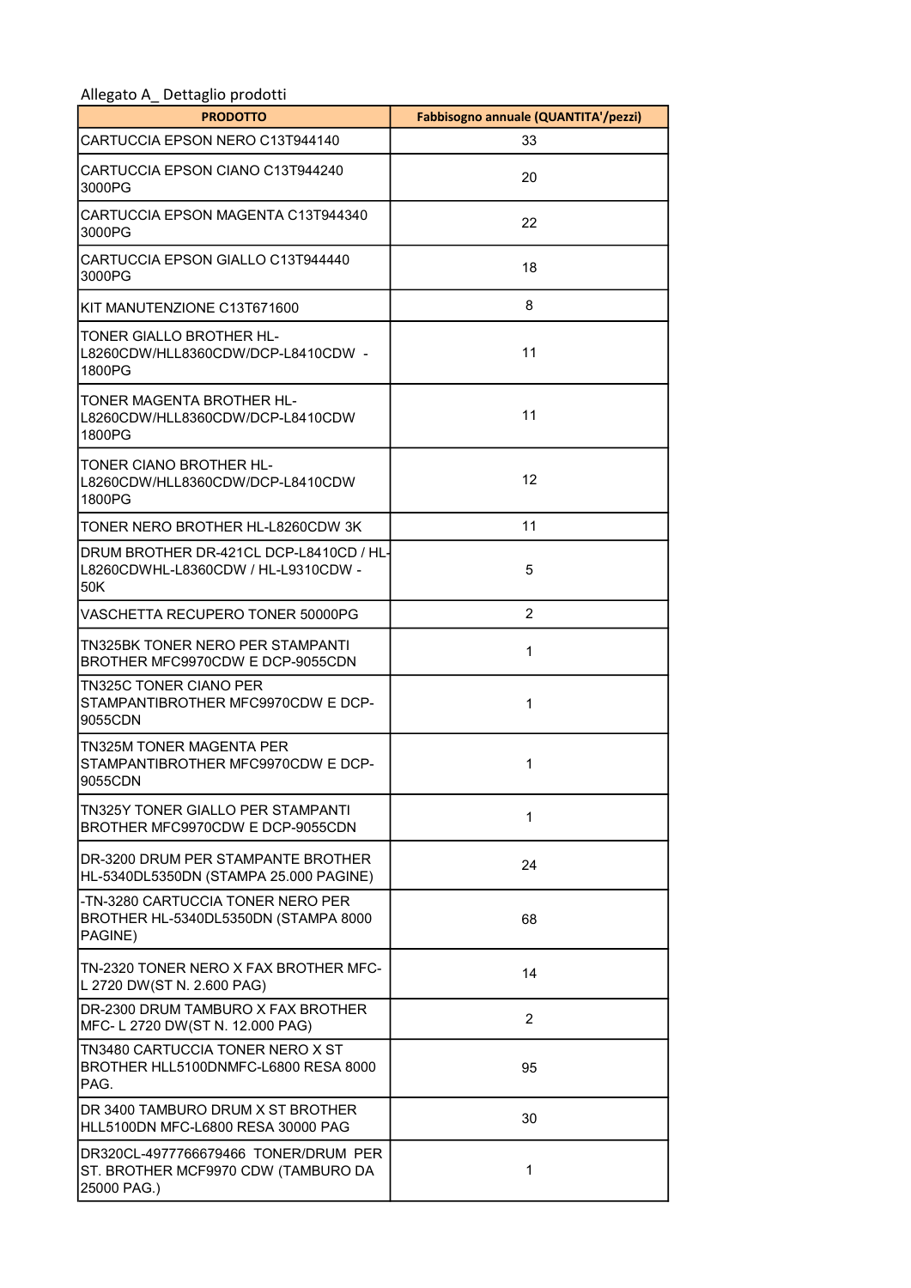| ۔ ۔ ت<br><b>PRODOTTO</b>                                                                   | Fabbisogno annuale (QUANTITA'/pezzi) |
|--------------------------------------------------------------------------------------------|--------------------------------------|
| CARTUCCIA EPSON NERO C13T944140                                                            | 33                                   |
| CARTUCCIA EPSON CIANO C13T944240<br>3000PG                                                 | 20                                   |
| CARTUCCIA EPSON MAGENTA C13T944340<br>3000PG                                               | 22                                   |
| CARTUCCIA EPSON GIALLO C13T944440<br>3000PG                                                | 18                                   |
| KIT MANUTENZIONE C13T671600                                                                | 8                                    |
| TONER GIALLO BROTHER HL-<br>L8260CDW/HLL8360CDW/DCP-L8410CDW -<br>1800PG                   | 11                                   |
| TONER MAGENTA BROTHER HL-<br>L8260CDW/HLL8360CDW/DCP-L8410CDW<br>1800PG                    | 11                                   |
| TONER CIANO BROTHER HL-<br>L8260CDW/HLL8360CDW/DCP-L8410CDW<br>1800PG                      | 12                                   |
| TONER NERO BROTHER HL-L8260CDW 3K                                                          | 11                                   |
| DRUM BROTHER DR-421CL DCP-L8410CD / HL-<br>L8260CDWHL-L8360CDW / HL-L9310CDW -<br>50K      | 5                                    |
| VASCHETTA RECUPERO TONER 50000PG                                                           | 2                                    |
| <b>TN325BK TONER NERO PER STAMPANTI</b><br>BROTHER MFC9970CDW E DCP-9055CDN                | 1                                    |
| <b>TN325C TONER CIANO PER</b><br>STAMPANTIBROTHER MFC9970CDW E DCP-<br>9055CDN             | 1                                    |
| TN325M TONER MAGENTA PER<br>STAMPANTIBROTHER MFC9970CDW E DCP-<br>9055CDN                  | 1                                    |
| TN325Y TONER GIALLO PER STAMPANTI<br>BROTHER MFC9970CDW E DCP-9055CDN                      | 1                                    |
| DR-3200 DRUM PER STAMPANTE BROTHER<br>HL-5340DL5350DN (STAMPA 25.000 PAGINE)               | 24                                   |
| -TN-3280 CARTUCCIA TONER NERO PER<br>BROTHER HL-5340DL5350DN (STAMPA 8000<br>PAGINE)       | 68                                   |
| TN-2320 TONER NERO X FAX BROTHER MFC-<br>L 2720 DW(ST N. 2.600 PAG)                        | 14                                   |
| DR-2300 DRUM TAMBURO X FAX BROTHER<br>MFC- L 2720 DW(ST N. 12.000 PAG)                     | $\overline{2}$                       |
| TN3480 CARTUCCIA TONER NERO X ST<br>BROTHER HLL5100DNMFC-L6800 RESA 8000<br>PAG.           | 95                                   |
| DR 3400 TAMBURO DRUM X ST BROTHER<br>HLL5100DN MFC-L6800 RESA 30000 PAG                    | 30                                   |
| DR320CL-4977766679466 TONER/DRUM PER<br>ST. BROTHER MCF9970 CDW (TAMBURO DA<br>25000 PAG.) | 1                                    |

## Allegato A\_ Dettaglio prodotti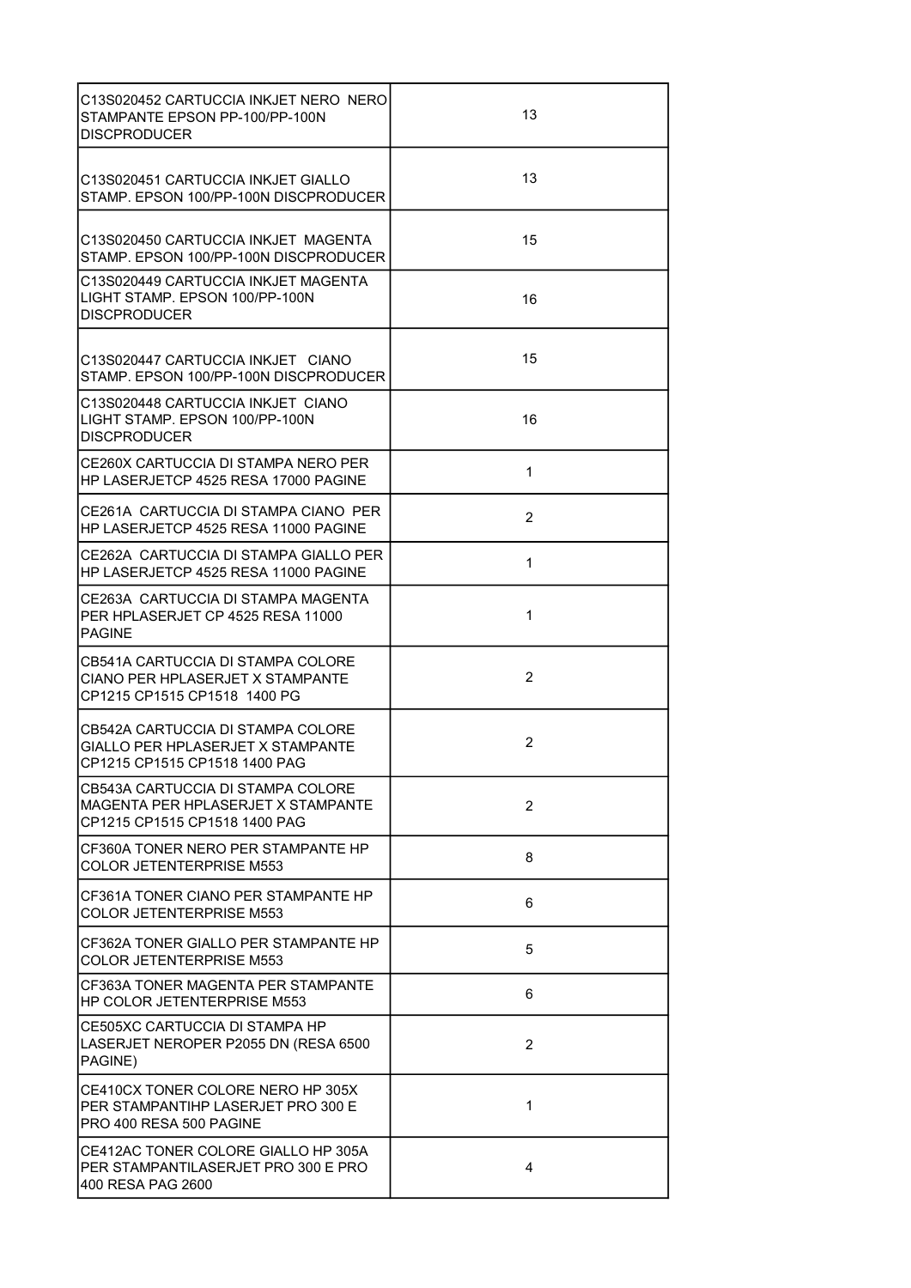| C13S020452 CARTUCCIA INKJET NERO NERO<br>STAMPANTE EPSON PP-100/PP-100N<br><b>DISCPRODUCER</b>           | 13             |
|----------------------------------------------------------------------------------------------------------|----------------|
| C13S020451 CARTUCCIA INKJET GIALLO<br>STAMP, EPSON 100/PP-100N DISCPRODUCER                              | 13             |
| C13S020450 CARTUCCIA INKJET MAGENTA<br>STAMP, EPSON 100/PP-100N DISCPRODUCER                             | 15             |
| C13S020449 CARTUCCIA INKJET MAGENTA<br>LIGHT STAMP, EPSON 100/PP-100N<br><b>DISCPRODUCER</b>             | 16             |
| C13S020447 CARTUCCIA INKJET CIANO<br>STAMP, EPSON 100/PP-100N DISCPRODUCER                               | 15             |
| C13S020448 CARTUCCIA INKJET CIANO<br>LIGHT STAMP. EPSON 100/PP-100N<br><b>DISCPRODUCER</b>               | 16             |
| CE260X CARTUCCIA DI STAMPA NERO PER<br>HP LASERJETCP 4525 RESA 17000 PAGINE                              | $\mathbf 1$    |
| CE261A CARTUCCIA DI STAMPA CIANO PER<br>HP LASERJETCP 4525 RESA 11000 PAGINE                             | $\overline{2}$ |
| CE262A CARTUCCIA DI STAMPA GIALLO PER<br>HP LASERJETCP 4525 RESA 11000 PAGINE                            | $\mathbf 1$    |
| CE263A CARTUCCIA DI STAMPA MAGENTA<br>PER HPLASERJET CP 4525 RESA 11000<br><b>PAGINE</b>                 | 1              |
| CB541A CARTUCCIA DI STAMPA COLORE<br>CIANO PER HPLASERJET X STAMPANTE<br>CP1215 CP1515 CP1518 1400 PG    | $\overline{2}$ |
| CB542A CARTUCCIA DI STAMPA COLORE<br>GIALLO PER HPLASERJET X STAMPANTE<br>CP1215 CP1515 CP1518 1400 PAG  | $\overline{2}$ |
| CB543A CARTUCCIA DI STAMPA COLORE<br>MAGENTA PER HPLASERJET X STAMPANTE<br>CP1215 CP1515 CP1518 1400 PAG | $\overline{2}$ |
| CF360A TONER NERO PER STAMPANTE HP<br><b>COLOR JETENTERPRISE M553</b>                                    | 8              |
| CF361A TONER CIANO PER STAMPANTE HP<br>COLOR JETENTERPRISE M553                                          | 6              |
| CF362A TONER GIALLO PER STAMPANTE HP<br>COLOR JETENTERPRISE M553                                         | 5              |
| CF363A TONER MAGENTA PER STAMPANTE<br>HP COLOR JETENTERPRISE M553                                        | 6              |
| CE505XC CARTUCCIA DI STAMPA HP<br>LASERJET NEROPER P2055 DN (RESA 6500<br>PAGINE)                        | $\overline{2}$ |
| CE410CX TONER COLORE NERO HP 305X<br>PER STAMPANTIHP LASERJET PRO 300 E<br>PRO 400 RESA 500 PAGINE       | 1              |
| CE412AC TONER COLORE GIALLO HP 305A<br>PER STAMPANTILASERJET PRO 300 E PRO<br>400 RESA PAG 2600          | 4              |